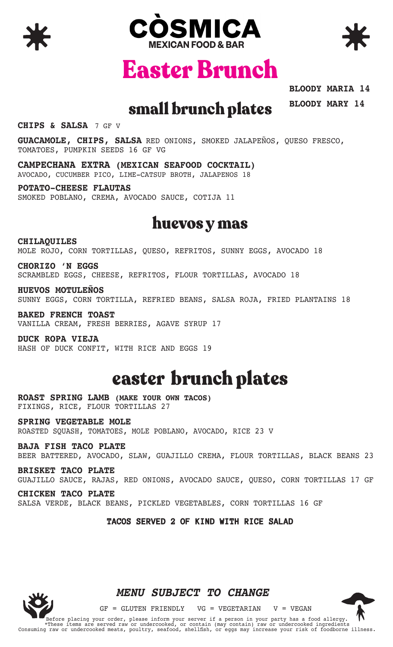





Easter Brunch

**BLOODY MARIA 14 BLOODY MARY 14**

### small brunch plates

**CHIPS & SALSA** 7 GF V

**GUACAMOLE, CHIPS, SALSA** RED ONIONS, SMOKED JALAPEÑOS, QUESO FRESCO, TOMATOES, PUMPKIN SEEDS 16 GF VG

**CAMPECHANA EXTRA (MEXICAN SEAFOOD COCKTAIL)** AVOCADO, CUCUMBER PICO, LIME-CATSUP BROTH, JALAPENOS 18

**POTATO-CHEESE FLAUTAS** SMOKED POBLANO, CREMA, AVOCADO SAUCE, COTIJA 11

### huevos y mas

**CHILAQUILES** MOLE ROJO, CORN TORTILLAS, QUESO, REFRITOS, SUNNY EGGS, AVOCADO 18

**CHORIZO 'N EGGS** SCRAMBLED EGGS, CHEESE, REFRITOS, FLOUR TORTILLAS, AVOCADO 18

**HUEVOS MOTULEÑOS** SUNNY EGGS, CORN TORTILLA, REFRIED BEANS, SALSA ROJA, FRIED PLANTAINS 18

**BAKED FRENCH TOAST** VANILLA CREAM, FRESH BERRIES, AGAVE SYRUP 17

**DUCK ROPA VIEJA** HASH OF DUCK CONFIT, WITH RICE AND EGGS 19

# easter brunch plates

**ROAST SPRING LAMB (MAKE YOUR OWN TACOS)** FIXINGS, RICE, FLOUR TORTILLAS 27

**SPRING VEGETABLE MOLE** ROASTED SQUASH, TOMATOES, MOLE POBLANO, AVOCADO, RICE 23 V

**BAJA FISH TACO PLATE** BEER BATTERED, AVOCADO, SLAW, GUAJILLO CREMA, FLOUR TORTILLAS, BLACK BEANS 23

**BRISKET TACO PLATE**  GUAJILLO SAUCE, RAJAS, RED ONIONS, AVOCADO SAUCE, QUESO, CORN TORTILLAS 17 GF

**CHICKEN TACO PLATE** SALSA VERDE, BLACK BEANS, PICKLED VEGETABLES, CORN TORTILLAS 16 GF

#### **TACOS SERVED 2 OF KIND WITH RICE SALAD**



#### *MENU SUBJECT TO CHANGE*

 $GF = GLUTEN FRIENDLY$   $VG = VEGETARIAN$   $V = VEGAN$ 

Before placing your order, please inform your server if a person in your party has a food allergy. \*These items are served raw or undercooked, or contain (may contain) raw or undercooked ingredients Consuming raw or undercooked meats, poultry, seafood, shellfish, or eggs may increase your risk of foodborne illness.